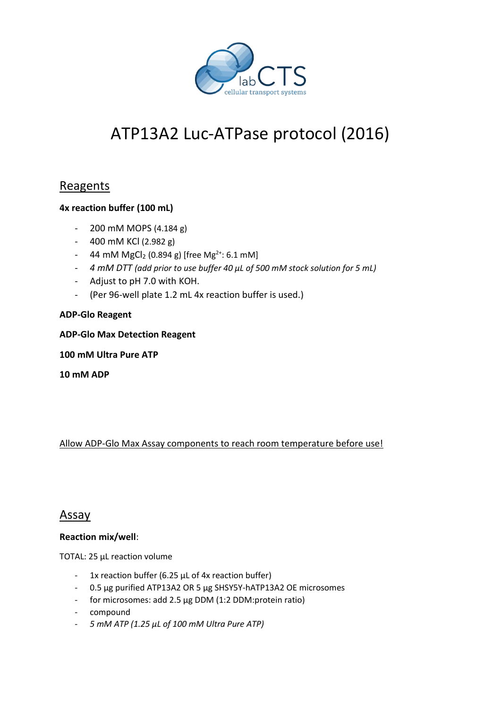

# ATP13A2 Luc-ATPase protocol (2016)

## Reagents

#### **4x reaction buffer (100 mL)**

- 200 mM MOPS (4.184 g)
- 400 mM KCl (2.982 g)
- 44 mM  $MgCl<sub>2</sub>$  (0.894 g) [free Mg<sup>2+</sup>: 6.1 mM]
- *4 mM DTT (add prior to use buffer 40 µL of 500 mM stock solution for 5 mL)*
- Adjust to pH 7.0 with KOH.
- (Per 96-well plate 1.2 mL 4x reaction buffer is used.)

#### **ADP-Glo Reagent**

**ADP-Glo Max Detection Reagent**

**100 mM Ultra Pure ATP**

**10 mM ADP**

#### Allow ADP-Glo Max Assay components to reach room temperature before use!

### Assay

#### **Reaction mix/well**:

TOTAL: 25 µL reaction volume

- 1x reaction buffer (6.25 µL of 4x reaction buffer)
- 0.5 µg purified ATP13A2 OR 5 µg SHSY5Y-hATP13A2 OE microsomes
- for microsomes: add 2.5 µg DDM (1:2 DDM:protein ratio)
- compound
- *5 mM ATP (1.25 µL of 100 mM Ultra Pure ATP)*